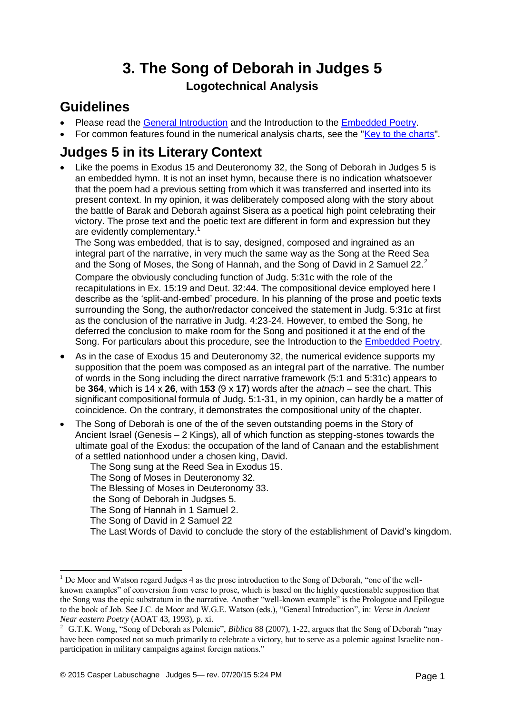# **3. The Song of Deborah in Judges 5 Logotechnical Analysis**

## **Guidelines**

- Please read the [General Introduction](http://www.labuschagne.nl/aspects.pdf) and the Introduction to the [Embedded Poetry.](http://www.labuschagne.nl/intro.embed.pdf)
- For common features found in the numerical analysis charts, see the ["Key to the charts"](http://www.labuschagne.nl/keytocharts.pdf).

## **Judges 5 in its Literary Context**

 Like the poems in Exodus 15 and Deuteronomy 32, the Song of Deborah in Judges 5 is an embedded hymn. It is not an inset hymn, because there is no indication whatsoever that the poem had a previous setting from which it was transferred and inserted into its present context. In my opinion, it was deliberately composed along with the story about the battle of Barak and Deborah against Sisera as a poetical high point celebrating their victory. The prose text and the poetic text are different in form and expression but they are evidently complementary.<sup>1</sup>

The Song was embedded, that is to say, designed, composed and ingrained as an integral part of the narrative, in very much the same way as the Song at the Reed Sea and the Song of Moses, the Song of Hannah, and the Song of David in 2 Samuel 22. $2$ 

Compare the obviously concluding function of Judg. 5:31c with the role of the recapitulations in Ex. 15:19 and Deut. 32:44. The compositional device employed here I describe as the 'split-and-embed' procedure. In his planning of the prose and poetic texts surrounding the Song, the author/redactor conceived the statement in Judg. 5:31c at first as the conclusion of the narrative in Judg. 4:23-24. However, to embed the Song, he deferred the conclusion to make room for the Song and positioned it at the end of the Song. For particulars about this procedure, see the Introduction to the [Embedded Poetry.](http://www.labuschagne.nl/intro.embed.pdf)

- As in the case of Exodus 15 and Deuteronomy 32, the numerical evidence supports my supposition that the poem was composed as an integral part of the narrative. The number of words in the Song including the direct narrative framework (5:1 and 5:31c) appears to be **364**, which is 14 x **26**, with **153** (9 x **17**) words after the *atnach* – see the chart. This significant compositional formula of Judg. 5:1-31, in my opinion, can hardly be a matter of coincidence. On the contrary, it demonstrates the compositional unity of the chapter.
- The Song of Deborah is one of the of the seven outstanding poems in the Story of Ancient Israel (Genesis – 2 Kings), all of which function as stepping-stones towards the ultimate goal of the Exodus: the occupation of the land of Canaan and the establishment of a settled nationhood under a chosen king, David.
	- The Song sung at the Reed Sea in Exodus 15.
	- The Song of Moses in Deuteronomy 32.
	- The Blessing of Moses in Deuteronomy 33.
	- the Song of Deborah in Judgses 5.
	- The Song of Hannah in 1 Samuel 2.
	- The Song of David in 2 Samuel 22

1

The Last Words of David to conclude the story of the establishment of David's kingdom.

 $1$  De Moor and Watson regard Judges 4 as the prose introduction to the Song of Deborah, "one of the wellknown examples" of conversion from verse to prose, which is based on the highly questionable supposition that the Song was the epic substratum in the narrative. Another "well-known example" is the Prologoue and Epilogue to the book of Job. See J.C. de Moor and W.G.E. Watson (eds.), "General Introduction", in: *Verse in Ancient Near eastern Poetry* (AOAT 43, 1993), p. xi.

<sup>2</sup> G.T.K. Wong, "Song of Deborah as Polemic", *Biblica* 88 (2007), 1-22, argues that the Song of Deborah "may have been composed not so much primarily to celebrate a victory, but to serve as a polemic against Israelite nonparticipation in military campaigns against foreign nations."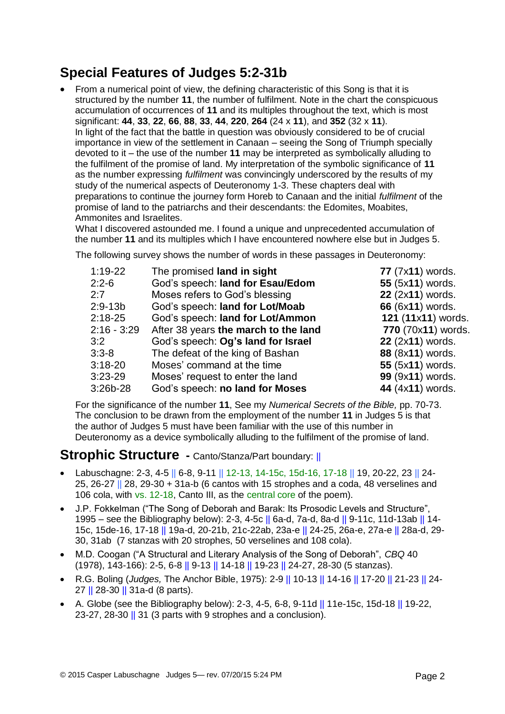## **Special Features of Judges 5:2-31b**

• From a numerical point of view, the defining characteristic of this Song is that it is structured by the number **11**, the number of fulfilment. Note in the chart the conspicuous accumulation of occurrences of **11** and its multiples throughout the text, which is most significant: **44**, **33**, **22**, **66**, **88**, **33**, **44**, **220**, **264** (24 x **11**), and **352** (32 x **11**). In light of the fact that the battle in question was obviously considered to be of crucial importance in view of the settlement in Canaan – seeing the Song of Triumph specially devoted to it – the use of the number **11** may be interpreted as symbolically alluding to the fulfilment of the promise of land. My interpretation of the symbolic significance of **11** as the number expressing *fulfilment* was convincingly underscored by the results of my study of the numerical aspects of Deuteronomy 1-3. These chapters deal with preparations to continue the journey form Horeb to Canaan and the initial *fulfilment* of the promise of land to the patriarchs and their descendants: the Edomites, Moabites, Ammonites and Israelites.

What I discovered astounded me. I found a unique and unprecedented accumulation of the number **11** and its multiples which I have encountered nowhere else but in Judges 5.

The following survey shows the number of words in these passages in Deuteronomy:

| $1:19-22$     | The promised land in sight           | 77 (7x11) words.   |
|---------------|--------------------------------------|--------------------|
| $2:2-6$       | God's speech: land for Esau/Edom     | 55 (5x11) words.   |
| 2:7           | Moses refers to God's blessing       | 22 (2x11) words.   |
| $2:9-13b$     | God's speech: land for Lot/Moab      | 66 (6x11) words.   |
| $2:18-25$     | God's speech: land for Lot/Ammon     | 121 (11x11) words. |
| $2:16 - 3:29$ | After 38 years the march to the land | 770 (70x11) words. |
| 3:2           | God's speech: Og's land for Israel   | 22 (2x11) words.   |
| $3:3-8$       | The defeat of the king of Bashan     | 88 (8x11) words.   |
| $3:18-20$     | Moses' command at the time           | 55 (5x11) words.   |
| $3:23-29$     | Moses' request to enter the land     | 99 (9x11) words.   |
| 3:26b-28      | God's speech: no land for Moses      | 44 (4x11) words.   |

For the significance of the number **11**, See my *Numerical Secrets of the Bible,* pp. 70-73. The conclusion to be drawn from the employment of the number **11** in Judges 5 is that the author of Judges 5 must have been familiar with the use of this number in Deuteronomy as a device symbolically alluding to the fulfilment of the promise of land.

#### **Strophic Structure -** Canto/Stanza/Part boundary: ||

- Labuschagne: 2-3, 4-5 || 6-8, 9-11 || 12-13, 14-15c, 15d-16, 17-18 || 19, 20-22, 23 || 24- 25, 26-27 || 28, 29-30 + 31a-b (6 cantos with 15 strophes and a coda, 48 verselines and 106 cola, with vs. 12-18, Canto III, as the central core of the poem).
- J.P. Fokkelman ("The Song of Deborah and Barak: Its Prosodic Levels and Structure", 1995 – see the Bibliography below): 2-3, 4-5c || 6a-d, 7a-d, 8a-d || 9-11c, 11d-13ab || 14- 15c, 15de-16, 17-18 || 19a-d, 20-21b, 21c-22ab, 23a-e || 24-25, 26a-e, 27a-e || 28a-d, 29- 30, 31ab (7 stanzas with 20 strophes, 50 verselines and 108 cola).
- M.D. Coogan ("A Structural and Literary Analysis of the Song of Deborah", *CBQ* 40 (1978), 143-166): 2-5, 6-8 || 9-13 || 14-18 || 19-23 || 24-27, 28-30 (5 stanzas).
- R.G. Boling (*Judges,* The Anchor Bible, 1975): 2-9 || 10-13 || 14-16 || 17-20 || 21-23 || 24- 27 || 28-30 || 31a-d (8 parts).
- A. Globe (see the Bibliography below): 2-3, 4-5, 6-8, 9-11d  $||$  11e-15c, 15d-18  $||$  19-22, 23-27, 28-30 || 31 (3 parts with 9 strophes and a conclusion).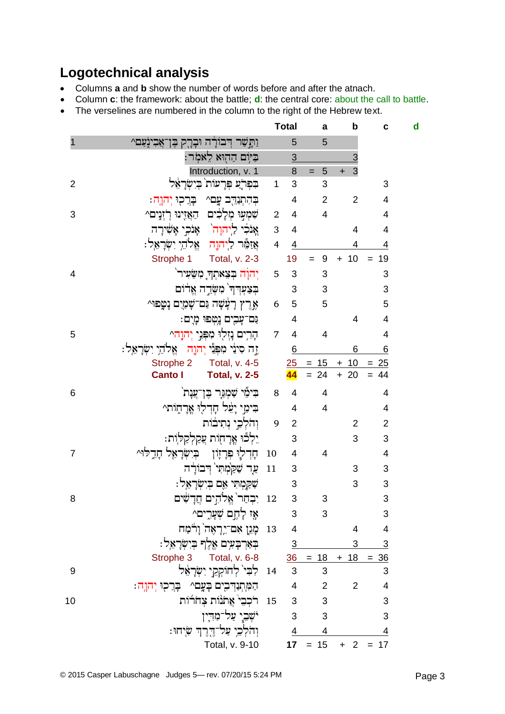# **Logotechnical analysis**

- Columns **a** and **b** show the number of words before and after the atnach.
- Column **c**: the framework: about the battle; **d**: the central core: about the call to battle.
- The verselines are numbered in the column to the right of the Hebrew text.

|                |                                                   |                | <b>Total</b>   | a                   | $\mathbf b$                 | C                         | d |
|----------------|---------------------------------------------------|----------------|----------------|---------------------|-----------------------------|---------------------------|---|
|                | וַתַּשַׁר דִּבוֹרָה וּבָרֶק בֶּן־אֲבִיגָֹעַם^     |                | 5              | 5                   |                             |                           |   |
|                | ּבַיּוָם הַהְוּא לֵאמִר:                          |                | 3              |                     | $\overline{3}$              |                           |   |
|                | Introduction, v. 1                                |                | 8              | 5<br>$=$            | $\overline{3}$<br>$\ddot{}$ |                           |   |
| $\overline{2}$ | בִפְרֵֹע פְּרָעוֹת בִישְׂרַאֵל                    | $\mathbf 1$    | 3              | 3                   |                             | 3                         |   |
|                | בְּהִתְנַהֵּב עֱם^<br>ַבְּרֵכְוּ יְהוֶהָ          |                | 4              | $\overline{2}$      | $\overline{2}$              | $\overline{4}$            |   |
| 3              | שִׁמְעִוּ מְלָבִים הַאֲזֶינוּ רְזְנָים^           | $\overline{2}$ | $\overline{4}$ | $\overline{4}$      |                             | 4                         |   |
|                | אָנֹכִי לַיִהוָה <sup>י</sup> אָנֹכִי אָשִׁירָה   | 3              | $\overline{4}$ |                     | $\overline{4}$              | 4                         |   |
|                | <u>אַזַמֶּר לַיִהוָה אֱלֹהֵי יִשְׂרָאֵל:</u>      | $\overline{4}$ | $\overline{4}$ |                     | 4                           | $\overline{4}$            |   |
|                | Strophe 1<br>Total, v. 2-3                        |                | 19             | 9                   | $+ 10$                      | 19<br>$=$                 |   |
| $\overline{4}$ | יְהוָה בְצֵאתְךְ מִשָּׂעִיר <sup>י</sup>          | 5              | 3              | 3                   |                             | 3                         |   |
|                | בִצַעִּרְךְ מִשְּׂרֶה אֱרוֹם                      |                | 3              | 3                   |                             | 3                         |   |
|                | אֵרֵץ רָעָּשָׁה נַם־שָׁמַיֵם נָטַפוּ^             | 6              | 5              | 5                   |                             | 5                         |   |
|                | נֵם־עָבִים נָטְפוּ מָיָם:                         |                | 4              |                     | $\overline{4}$              | $\overline{4}$            |   |
| 5              | הָרִים נָזְלִוּ מִפְּנֵי יִהוַה^                  | $\overline{7}$ | 4              | 4                   |                             | $\overline{4}$            |   |
|                | זֶה סִינַּי מִפְּנֵי יְהוֶה , אֱלֹהֵי יִשְׂרָאֵל: |                | 6              |                     | 6                           | 6                         |   |
|                | Strophe 2<br>Total, v. 4-5                        |                |                | $25 = 15 + 10 = 25$ |                             |                           |   |
|                | <b>Canto I</b><br><b>Total, v. 2-5</b>            |                | 44             | $= 24$              | $+20$                       | $=$<br>44                 |   |
| 6              | בִּימָיׁ שַׁמְגַּרָ בֶּן־עֲנָת`                   | $\, 8$         | 4              | 4                   |                             | 4                         |   |
|                | בִּימֵי יָעֵׁל חָדְלִוּ אֲרָחָוֹת^                |                | 4              | $\overline{4}$      |                             | 4                         |   |
|                | וְהֹלְכֵי נְתִיבוֹת                               | 9              | $\overline{2}$ |                     | $\overline{2}$              | $\overline{2}$            |   |
|                | יִלְכֹּוּ אֲרָחָוֹת עֲקַלְקַלְוֹת:                |                | 3              |                     | 3                           | 3                         |   |
| $\overline{7}$ | <u>ىئادېر <del>ف</del>رنږا د خنښانغې باتر</u> م   | 10             | 4              | $\overline{4}$      |                             | $\overline{4}$            |   |
|                | עַר שַׁקַׂמְתִי דִּבוֹרָה                         | 11             | 3              |                     | 3                           | 3                         |   |
|                | שַׁקַמִתִּי אֵם בִיִשְׂרָאֵל:                     |                | 3              |                     | 3                           | 3                         |   |
| 8              | יִבְחַר אֱלֹהִים חֲדָשִּׁים                       | 12             | 3              | 3                   |                             | 3                         |   |
|                | אָז לָחֶם שְׁעָרֶים^                              |                | 3              | 3                   |                             | 3                         |   |
|                | 13   מָגֵן אִם־יֵרְאֶה וָרֹצַח                    |                | $\overline{4}$ |                     | $\overline{4}$              | 4                         |   |
|                | בְּאַרְבָעִים אֱלֶךְ בִיִשְׂרָאֵל:                |                | $\overline{3}$ |                     | 3                           | $\ensuremath{\mathsf{3}}$ |   |
|                | Strophe 3 Total, v. 6-8                           |                |                | $36 = 18$           | $18 =$<br>$\pm$             | $\frac{36}{5}$            |   |
| 9              | 14 לִבִּי לְחוֹקְקֵי יִשְׂרָאֵל                   |                | 3 <sup>7</sup> | 3                   |                             | 3                         |   |
|                | הַמְּתְנַדְּבִים בָּעֱם^ בְּרֵכִוּ יְהוֶה:        |                | 4              | 2                   | $\overline{2}$              | 4                         |   |
| 10             | 15 – רֹכִבֵי אֲתֹנוֹת צְחֹרוֹת                    |                | $\mathbf{3}$   | 3                   |                             | 3                         |   |
|                | יֹשָׁבֵי עַל־מִדְין                               |                | 3              | 3                   |                             | 3                         |   |
|                | וְהֹלְכֵי עַל־דֶרֶךְ שִׂיחוּ:                     |                |                | $\frac{4}{ }$<br>4  |                             | $\overline{4}$            |   |
|                | Total, v. 9-10                                    |                |                | $17 = 15$           | $+2$                        | $= 17$                    |   |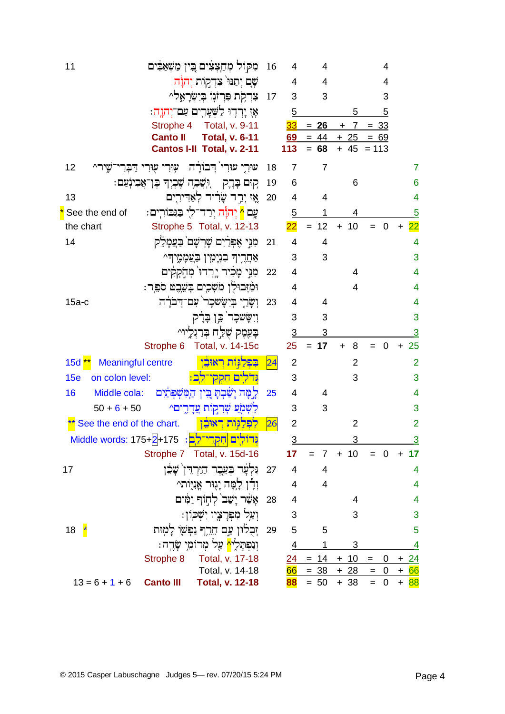| 11                                              |                                       | מִקוֹל מְחַצְצִים בֵּין מַשְׁאַבִּים                                                 | 16              | 4               | 4              |                | 4                     |                         |
|-------------------------------------------------|---------------------------------------|--------------------------------------------------------------------------------------|-----------------|-----------------|----------------|----------------|-----------------------|-------------------------|
|                                                 |                                       | שָׁם יִתַּנּוּ צִדְקוֹת יְהוָה                                                       |                 | 4               | 4              |                | 4                     |                         |
|                                                 |                                       | צִדְקָת פִּרְזֹּנִוּ בִיִשְּׂרָאֶל^                                                  | 17              | 3               | 3              |                | 3                     |                         |
|                                                 |                                       | אָז יַרְדִוּ לַשְׁעָרִים עַם־יְהוֶה:                                                 |                 | 5               |                | 5              | 5                     |                         |
|                                                 |                                       | Strophe 4 Total, v. 9-11                                                             |                 | 33              | $= 26$         | 7              | $= 33$                |                         |
|                                                 | <b>Canto II</b>                       | <b>Total, v. 6-11</b>                                                                |                 | 69              | $= 44$         | $+25$          | $= 69$                |                         |
|                                                 |                                       | Cantos I-II Total, v. 2-11                                                           |                 | 113             | $= 68$         | + 45           | $= 113$               |                         |
| 12                                              | עִוּרִי עִוּרִי דַבְרָ                | עוּרִי עוּרי` דִּבוֹרָה                                                              | 18              | $\overline{7}$  | 7              |                |                       | 7                       |
|                                                 | ּוִישֲׁבְה שֶׁבְיִךְ בֶּן־אֲבִינְעַם: | קים בְּרֶק                                                                           | 19              | 6               |                | 6              |                       | 6                       |
| 13                                              |                                       | אֶז יְרָד שֶׂרִיד לְאַדִירִים                                                        | 20              | $\overline{4}$  | $\overline{4}$ |                |                       | 4                       |
| * See the end of                                |                                       | עֶם <mark>^</mark> יְהוָה יְרַד־לִי בַּגִּבּוֹרִים:                                  |                 | 5               |                | 4              |                       | $\overline{5}$          |
| the chart                                       |                                       | Strophe 5 Total, v. 12-13                                                            |                 | $\overline{22}$ | $= 12$         | 10<br>$+$      | $\overline{0}$        | $\overline{22}$         |
| 14                                              |                                       | מִנֵּי אֶפְרֹיִם שָׁרְשָׁם בַּעֲמָלֵק                                                | 21              | 4               | 4              |                |                       | 4                       |
|                                                 |                                       | אַחֲרִיה בִנִימִין בַּצֵכְזָמָיה^                                                    |                 | 3               | 3              |                |                       | 3                       |
|                                                 |                                       | מִנִּי מָבִיר יֶרְדוּ מִחְקְקִים                                                     | 22              | 4               |                | 4              |                       | 4                       |
|                                                 |                                       | וּמִ֫זִּבוּלָן מֹשְׁכִים בְּשֵׁבֶט סֹפֵר:                                            |                 | 4               |                | 4              |                       | 4                       |
| $15a-c$                                         |                                       | וְשָׂרַי בְיִשָּׂשכָר ׁעִם־דִּבֹרַה                                                  | 23              | 4               | 4              |                |                       | 4                       |
|                                                 |                                       | וִישָּׂשכָר כֵּן בָּרָק                                                              |                 | 3               | 3              |                |                       | 3                       |
|                                                 |                                       | בְּעֵמֶק שָׁלַּחַ בְּרַגְלַיוֹי                                                      |                 | $\overline{3}$  | 3              |                |                       | 3                       |
|                                                 |                                       | Strophe 6 Total, v. 14-15c                                                           |                 | 25              | $= 17$         | 8<br>$\ddot{}$ | $\mathbf 0$           | 25<br>$+$               |
| <b>Meaningful centre</b><br>15d <mark>**</mark> |                                       | בִפְלַגְּוֹת רִאוּבֵן                                                                | $\overline{24}$ | $\overline{2}$  |                | 2              |                       | $\overline{2}$          |
| 15e<br>on colon level:                          |                                       | נדלים חקקי־לֵב:                                                                      |                 | 3               |                | 3              |                       | 3                       |
| 16<br>Middle cola:                              |                                       | לַמַּה יַשַּׁבְתַּ בֵּין הַמְּשִׁפְּתַיִם                                            | 25              | 4               | 4              |                |                       | $\overline{\mathbf{4}}$ |
| $50 + 6 + 50$                                   |                                       | לִשְׁמָׂעַ שְׁרִקְוֹת עֲדָרֶים^                                                      |                 | 3               | 3              |                |                       | 3                       |
| ** See the end of the chart.                    |                                       | לִפְלַגְּוֹת רְאוּבֶן                                                                | 26              | $\overline{2}$  |                | $\overline{2}$ |                       | $\overline{2}$          |
|                                                 |                                       | <mark>וְּדוֹלְיִם הִקְרֵי־לֵב</mark> : 175+ <sub>2</sub> +175 <u>-</u> Middle words: |                 | $\overline{3}$  |                | 3              |                       | $\overline{3}$          |
|                                                 |                                       | Strophe 7 Total, v. 15d-16                                                           |                 | $17\,$          | $= 7$          | $+ 10$         | $= 0$                 | 17<br>$\ddot{}$         |
| 17                                              |                                       | וִּלְעָר בְעֵבֶר הַיַּרְדִּן שָׁבֵן                                                  | 27              | 4               | 4              |                |                       | 4                       |
|                                                 |                                       | וִדָּן לָמָה יָגְוּר אֲנִיּֽוֹת^                                                     |                 | 4               | 4              |                |                       | 4                       |
|                                                 |                                       | אָשֶׁר יָשָׁב` לִחְוֹף יַמִּים                                                       | 28              | 4               |                | 4              |                       | $\overline{4}$          |
|                                                 |                                       | וִעַל מִפְרָצָיו יִשְׁכוֹן:                                                          |                 | 3               |                | 3              |                       | 3                       |
| 18                                              |                                       | זְבְלֹוּן עֲם חֱרֵךְ נַפְשָׁוֹ לָמָוּת                                               | 29              | 5               | 5              |                |                       | 5                       |
|                                                 |                                       | וִנַפִּתָּלִי <mark>^</mark> עַל מִרוֹמֵי שָׂדֵה:                                    |                 | $\overline{4}$  |                | 3              |                       | <u>4</u>                |
|                                                 | Strophe 8                             | Total, v. 17-18                                                                      |                 | <u>24</u>       | $= 14$         | $+ 10$         | 0<br>$=$              | $+24$                   |
|                                                 |                                       | Total, v. 14-18                                                                      |                 | 66              | $= 38$         | $+28$          | $\overline{0}$<br>$=$ | 66<br>$+$               |
| $13 = 6 + 1 + 6$                                | <b>Canto III</b>                      | <b>Total, v. 12-18</b>                                                               |                 | 88              | $= 50$         | $+38$          | $= 0$                 | $+ 88$                  |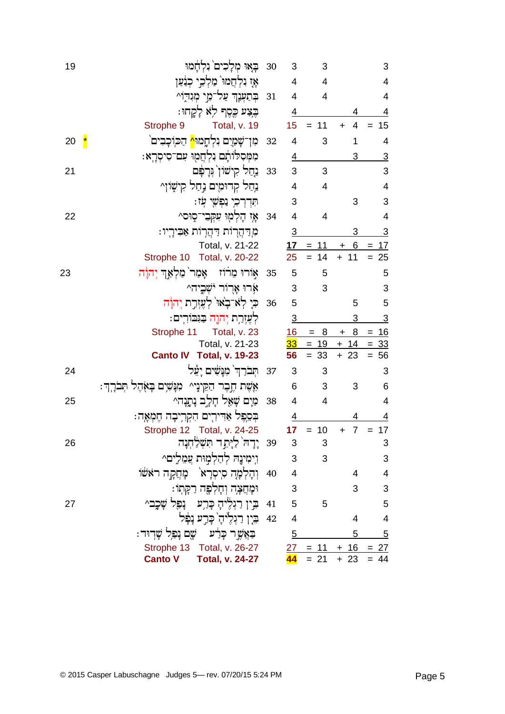| 19                       | בָאוּ מִלָכִים נִלְהָמוּ                               | 30   | 3                       | 3         |                             | 3              |
|--------------------------|--------------------------------------------------------|------|-------------------------|-----------|-----------------------------|----------------|
|                          | אַז נִלְחֲמוּ מַלְכֵי כְנַּעַן                         |      | $\overline{4}$          | 4         |                             | 4              |
|                          | בְתַעְנָךְ עַל־מֵי מִגִדְוֹ^                           | 31   | 4                       | 4         |                             | 4              |
|                          | בִּצַע כֵּסֵף לִא לָקֶחוּ:                             |      | 4                       |           | 4                           | $\overline{4}$ |
|                          | Total, v. 19<br>Strophe 9                              |      | 15                      | $= 11$    | $\overline{4}$<br>$\ddot{}$ | 15             |
| $\mathbf{\ddot{}}$<br>20 | מִן־שָׁמַיִם נִלְחֱמוּ <mark>^</mark> הַכּוֹכָבִים`    | 32   | 4                       | 3         | 1                           | 4              |
|                          | מִמְּסִלּוֹתֶם נִלְחֲמָוּ עִם־סִיסְרָא:                |      | $\overline{4}$          |           | 3                           | $\overline{3}$ |
| 21                       | ַנְחַל קִישׁוֹן גִּרָפָּם                              | - 33 | 3                       | 3         |                             | 3              |
|                          | נִחַל קְרוּמִים נְחַל קִישָׁוֹן^                       |      | 4                       | 4         |                             | $\overline{4}$ |
|                          | תִּדְרְכִי נַפְשָׁי עִז:                               |      | 3                       |           | 3                           | 3              |
| 22                       | אָז הָלְמָוּ עִקְבִי־סָוּס^                            | 34   | $\overline{\mathbf{4}}$ | 4         |                             | $\overline{4}$ |
|                          | מְדַהֲרוֹת דַהֲרוֹת אַבִּירָיו:                        |      | $\overline{3}$          |           | 3                           | <u>3</u>       |
|                          | Total, v. 21-22                                        |      | 17                      | 11<br>$=$ | <u>6</u><br>٠               | 17<br>$=$      |
|                          | Strophe 10 Total, v. 20-22                             |      | 25                      | 14<br>$=$ | $+ 11$                      | $= 25$         |
| 23                       | אָורוּ מֵרֹוֹז – אָמַר` מַלְאַךְ יְהוָֹה               | 35   | 5                       | 5         |                             | 5              |
|                          | ארו ארור ישביה^                                        |      | 3                       | 3         |                             | 3              |
|                          | ּכִּי לְאֹ־בָאוּ` לְעֵזְרֵת יְהוַׂה                    | 36   | 5                       |           | 5                           | 5              |
|                          | לְעֶזְרָת יְהוֶה בַּגִּבּוֹרִים:                       |      | $\overline{3}$          |           | 3                           | <u>3</u>       |
|                          | Total, v. 23<br>Strophe 11                             |      | 16                      | $= 8$     | 8<br>$\ddot{}$              | $= 16$         |
|                          | Total, v. 21-23                                        |      | <u>33</u>               | $= 19$    | $+ 14$                      | $= 33$         |
|                          | Canto IV Total, v. 19-23                               |      | 56                      | 33<br>$=$ | $+ 23$                      | $= 56$         |
| 24                       | תִּבֹרַךְ מִנָּשִׁים יָעֵל                             | 37   | 3                       | 3         |                             | 3              |
|                          | אֶשֶׁת חֱבֶר הַקֵּינָי^ מִנָּשִׁים בָּאָהֶל תִּבֹרֶךְ: |      | 6                       | 3         | 3                           | 6              |
| 25                       | מַיָם שָׁאֵל חָלֶב נָתֱנָה^                            | 38   | 4                       | 4         |                             | $\overline{4}$ |
|                          | בִּסֵפֶּל אַדִּירִים הִקְרִיבָה הֶמְאָה:               |      | 4                       |           | 4                           | 4              |
|                          | Strophe 12 Total, v. 24-25                             |      | 17 <sub>1</sub>         | $= 10$    | $\overline{7}$<br>$\ddot{}$ | $= 17$         |
| 26                       | 39 יָדָה <sup>י </sup> לַיָּתֵד תִּשְׁלַחִנָּה         |      | 3                       | 3         |                             | 3              |
|                          | וִימִינֶהּ לְהַלְמִוּת עֲמֵלִים^                       |      | 3                       | 3         |                             | 3              |
|                          | וְהָלְמָה סִיסְרָא <sup>ֶ</sup> מָּחֲקָה ראָשׁוֹ       | 40   | 4                       |           | 4                           | 4              |
|                          | וּמָחֲצָה וְחָלְפֶּה רַקָּתְוֹ:                        |      | 3                       |           | 3                           | 3              |
| 27                       | ּבִּין רַגְלֶיהָ כָּר <i>ָע</i> נָפָל שָׁכֶב^          | 41   | 5                       | 5         |                             | 5              |
|                          | ּבֵין רַגְלֵיהָ כָּרֵע נָפָּל                          | 42   | $\overline{4}$          |           | 4                           | $\overline{4}$ |
|                          | בַּאֲשֵׁר כָּרַ֫ע _ שֶׁם נָפִל שָׁדִוּד:               |      | 5                       |           | 5                           | 5              |
|                          | Strophe 13 Total, v. 26-27                             |      | $\overline{27}$         | $= 11$    | $+ 16$                      | $= 27$         |
|                          | <b>Canto V</b><br><b>Total, v. 24-27</b>               |      |                         | $= 21$    | $+23$                       | $= 44$         |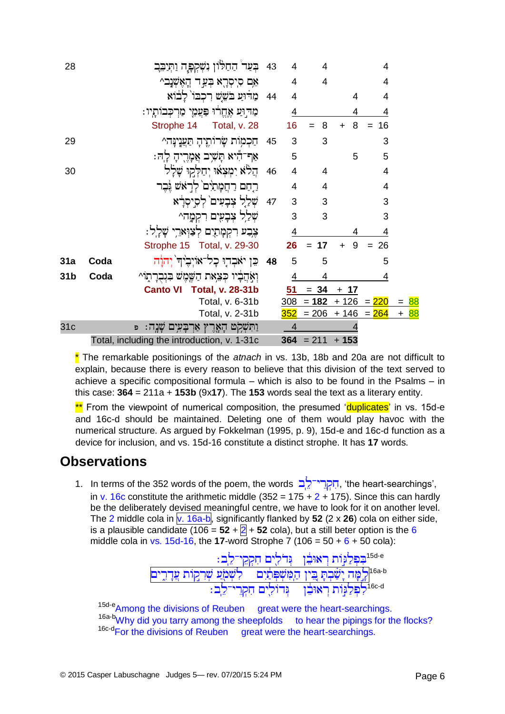| 28              |      | בִּעַר הַחַלּוֹן נִשְקִפָּה וַתְּיַבְּב       | 43 | 4   | 4              |                | 4              |                   |  |
|-----------------|------|-----------------------------------------------|----|-----|----------------|----------------|----------------|-------------------|--|
|                 |      | אִם סִיסְרָא בְּעַד הֲאָשָׁנָב^               |    | 4   | 4              |                | 4              |                   |  |
|                 |      | 44 מַרִּוּעַ בֹּשֲשׁ רְכְבוֹ לַבוֹא           |    | 4   |                | 4              | 4              |                   |  |
|                 |      | מַדִּוּעַ אֶחֱרוּ פַּעֲמֶי מַרִכְּבוֹתָיו:    |    | 4   |                | 4              | 4              |                   |  |
|                 |      | Strophe 14 Total, v. 28                       |    | 16  | 8              | 8              | 16             |                   |  |
| 29              |      | חַכְמִוֹת שָׂרוֹתֱיהָ תַעֲנֶינָּה^            | 45 | 3   | 3              |                | 3              |                   |  |
|                 |      | אַף־הִיא תַּשִׁיָּב אֲמָרֻיהָ לָה:            |    | 5   |                | 5              | 5              |                   |  |
| 30              |      | הֲלֹא יִמְצְאוּ יְחַלְקוּ שֲלַל               | 46 | 4   | $\overline{4}$ |                | $\overline{4}$ |                   |  |
|                 |      | רֵחֵם רַחֲמַתַיִּם לְרָאֹשׁ גֶּבֶר            |    | 4   | 4              |                | $\overline{4}$ |                   |  |
|                 |      | שִׁלַל צִבָעִים לִסְיסִרָא                    | 47 | 3   | 3              |                | 3              |                   |  |
|                 |      | שִׁלַל צִבָעִים רִקְמָה^                      |    | 3   | 3              |                | 3              |                   |  |
|                 |      | צֶבִע רִקְמָתַיִם לִצַוְּאַרֵי שָׁלֵל:        |    | 4   |                | 4              | 4              |                   |  |
|                 |      | Strophe 15 Total, v. 29-30                    |    | 26  | 17<br>$=$      | 9<br>$\ddot{}$ | 26<br>$=$      |                   |  |
| 31a             | Coda | 48 ּ כֵּן יֹאבְדְוּ כָל־אוֹיִבִיהִ יִהוַּה    |    | 5   | 5              |                | 5              |                   |  |
| 31b             | Coda | וְאָהֲבָיו כִּצְאַת הַשֵּׁמֵשׁ בִּנְבְרַתְוֹ^ |    | 4   | 4              |                | 4              |                   |  |
|                 |      | <b>Canto VI</b><br><b>Total, v. 28-31b</b>    |    | 51  | $= 34$         | $+ 17$         |                |                   |  |
|                 |      | Total, v. 6-31b                               |    | 308 | $= 182$        | + 126          | $= 220$        | = <mark>88</mark> |  |
|                 |      | Total, v. 2-31b                               |    | 352 | $= 206$        |                | $+ 146 = 264$  | + <mark>88</mark> |  |
| 31 <sub>c</sub> |      | וַתִּשְׁקִט הָאֶרֶץ אַרְבָּעִים<br>Đ          |    | 4   |                |                |                |                   |  |
|                 |      | Total, including the introduction, v. 1-31c   |    | 364 | $= 211$        | $+153$         |                |                   |  |

\* The remarkable positionings of the *atnach* in vs. 13b, 18b and 20a are not difficult to explain, because there is every reason to believe that this division of the text served to achieve a specific compositional formula – which is also to be found in the Psalms – in this case: **364** = 211a + **153b** (9x**17**). The **153** words seal the text as a literary entity.

\*\* From the viewpoint of numerical composition, the presumed 'duplicates' in vs. 15d-e and 16c-d should be maintained. Deleting one of them would play havoc with the numerical structure. As argued by Fokkelman (1995, p. 9), 15d-e and 16c-d function as a device for inclusion, and vs. 15d-16 constitute a distinct strophe. It has **17** words.

### **Observations**

1. In terms of the 352 words of the poem, the words הִקְרֵי־לֶב, 'the heart-searchings', in v. 16c constitute the arithmetic middle (352 =  $175 + 2 + 175$ ). Since this can hardly be the deliberately devised meaningful centre, we have to look for it on another level. The 2 middle cola in  $\sqrt{v}$ . 16a-b, significantly flanked by 52 (2 x 26) cola on either side, is a plausible candidate (106 =  $52 + 2 + 52$  cola), but a still beter option is the 6 middle cola in vs. 15d-16, the **17**-word Strophe 7 (106 =  $50 + 6 + 50$  cola):

$$
\frac{1}{2} \frac{1}{2} \frac{1}{2} \frac{1}{2} \frac{1}{2} \frac{1}{2} \frac{1}{2} \frac{1}{2} \frac{1}{2} \frac{1}{2} \frac{1}{2} \frac{1}{2} \frac{1}{2} \frac{1}{2} \frac{1}{2} \frac{1}{2} \frac{1}{2} \frac{1}{2} \frac{1}{2} \frac{1}{2} \frac{1}{2} \frac{1}{2} \frac{1}{2} \frac{1}{2} \frac{1}{2} \frac{1}{2} \frac{1}{2} \frac{1}{2} \frac{1}{2} \frac{1}{2} \frac{1}{2} \frac{1}{2} \frac{1}{2} \frac{1}{2} \frac{1}{2} \frac{1}{2} \frac{1}{2} \frac{1}{2} \frac{1}{2} \frac{1}{2} \frac{1}{2} \frac{1}{2} \frac{1}{2} \frac{1}{2} \frac{1}{2} \frac{1}{2} \frac{1}{2} \frac{1}{2} \frac{1}{2} \frac{1}{2} \frac{1}{2} \frac{1}{2} \frac{1}{2} \frac{1}{2} \frac{1}{2} \frac{1}{2} \frac{1}{2} \frac{1}{2} \frac{1}{2} \frac{1}{2} \frac{1}{2} \frac{1}{2} \frac{1}{2} \frac{1}{2} \frac{1}{2} \frac{1}{2} \frac{1}{2} \frac{1}{2} \frac{1}{2} \frac{1}{2} \frac{1}{2} \frac{1}{2} \frac{1}{2} \frac{1}{2} \frac{1}{2} \frac{1}{2} \frac{1}{2} \frac{1}{2} \frac{1}{2} \frac{1}{2} \frac{1}{2} \frac{1}{2} \frac{1}{2} \frac{1}{2} \frac{1}{2} \frac{1}{2} \frac{1}{2} \frac{1}{2} \frac{1}{2} \frac{1}{2} \frac{1}{2} \frac{1}{2} \frac{1}{2} \frac{1}{2} \frac{1}{2} \frac{1}{2} \frac{1}{2} \frac{1}{2} \frac{1}{2} \frac{1}{2} \frac{1}{2} \frac{1}{2} \frac{1}{2} \frac{1}{2} \frac{1}{2} \frac{1}{2} \frac{1}{2} \frac{1}{2} \frac{
$$

15d-e<sub>Among the divisions of Reuben great were the heart-searchings.</sub> 16a-b<sub>Why</sub> did you tarry among the sheepfolds to hear the pipings for the flocks? <sup>16c-d</sup>For the divisions of Reuben great were the heart-searchings.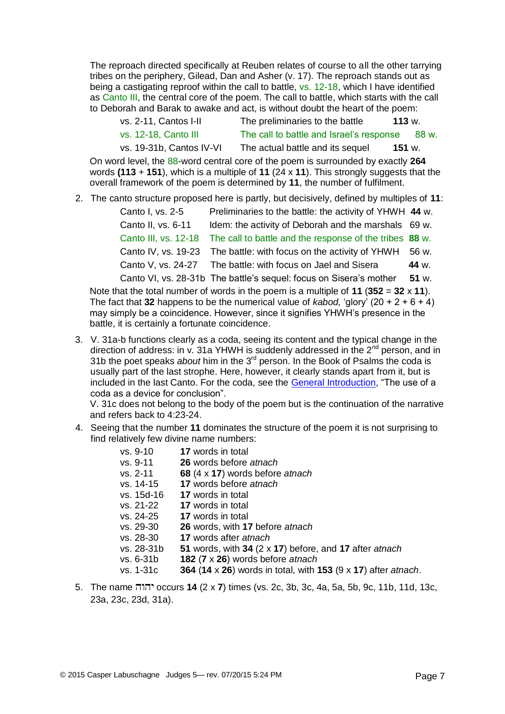The reproach directed specifically at Reuben relates of course to all the other tarrying tribes on the periphery, Gilead, Dan and Asher (v. 17). The reproach stands out as being a castigating reproof within the call to battle, vs. 12-18, which I have identified as Canto III, the central core of the poem. The call to battle, which starts with the call to Deborah and Barak to awake and act, is without doubt the heart of the poem:

| vs. 2-11, Cantos I-II    | The preliminaries to the battle          | 113 w. |  |
|--------------------------|------------------------------------------|--------|--|
| vs. 12-18, Canto III     | The call to battle and Israel's response | .88 w. |  |
| vs. 19-31b, Cantos IV-VI | The actual battle and its sequel         | 151 w. |  |

On word level, the 88-word central core of the poem is surrounded by exactly **264** words **(113** + **151**), which is a multiple of **11** (24 x **11**). This strongly suggests that the overall framework of the poem is determined by **11**, the number of fulfilment.

2. The canto structure proposed here is partly, but decisively, defined by multiples of **11**:

| Canto I, vs. 2-5                                                                      | Preliminaries to the battle: the activity of YHWH 44 w.            |       |  |  |  |
|---------------------------------------------------------------------------------------|--------------------------------------------------------------------|-------|--|--|--|
| Canto II, vs. 6-11                                                                    | Idem: the activity of Deborah and the marshals 69 w.               |       |  |  |  |
| Canto III, vs. 12-18                                                                  | The call to battle and the response of the tribes 88 w.            |       |  |  |  |
|                                                                                       | Canto IV, vs. 19-23 The battle: with focus on the activity of YHWH | 56 w. |  |  |  |
|                                                                                       | Canto V, vs. 24-27 The battle: with focus on Jael and Sisera       | 44 w. |  |  |  |
|                                                                                       | Canto VI, vs. 28-31b The battle's sequel: focus on Sisera's mother | 51 w. |  |  |  |
| of the total number of words in the noem is a multiple of 11 (352 $-$ 32 $\times$ 11) |                                                                    |       |  |  |  |

Note that the total number of words in the poem is a multiple of **11** (**352** = **32** x **11**). The fact that **32** happens to be the numerical value of *kabod.* 'glory'  $(20 + 2 + 6 + 4)$ may simply be a coincidence. However, since it signifies YHWH's presence in the battle, it is certainly a fortunate coincidence.

3. V. 31a-b functions clearly as a coda, seeing its content and the typical change in the direction of address: in v. 31a YHWH is suddenly addressed in the  $2<sup>nd</sup>$  person, and in 31b the poet speaks *about* him in the 3rd person. In the Book of Psalms the coda is usually part of the last strophe. Here, however, it clearly stands apart from it, but is included in the last Canto. For the coda, see the [General Introduction,](http://www.labuschagne.aspects.nl/) "The use of a coda as a device for conclusion".

V. 31c does not belong to the body of the poem but is the continuation of the narrative and refers back to 4:23-24.

4. Seeing that the number **11** dominates the structure of the poem it is not surprising to find relatively few divine name numbers:

| vs. 9-10    | <b>17</b> words in total                                      |
|-------------|---------------------------------------------------------------|
| $vs. 9-11$  | <b>26</b> words before atnach                                 |
| vs. 2-11    | 68 (4 x 17) words before atnach                               |
| $vs. 14-15$ | 17 words before atnach                                        |
| vs. 15d-16  | <b>17</b> words in total                                      |
| vs. 21-22   | 17 words in total                                             |
| vs. 24-25   | <b>17</b> words in total                                      |
| vs. 29-30   | 26 words, with 17 before atnach                               |
| vs. 28-30   | 17 words after atnach                                         |
| vs. 28-31b  | 51 words, with 34 $(2 \times 17)$ before, and 17 after atnach |
| $vs. 6-31b$ | 182 $(7 \times 26)$ words before atnach                       |
| $vs. 1-31c$ | 364 (14 x 26) words in total, with 153 (9 x 17) after atnach. |
|             |                                                               |

5. The name occurs **14** (2 x **7**) times (vs. 2c, 3b, 3c, 4a, 5a, 5b, 9c, 11b, 11d, 13c, 23a, 23c, 23d, 31a).